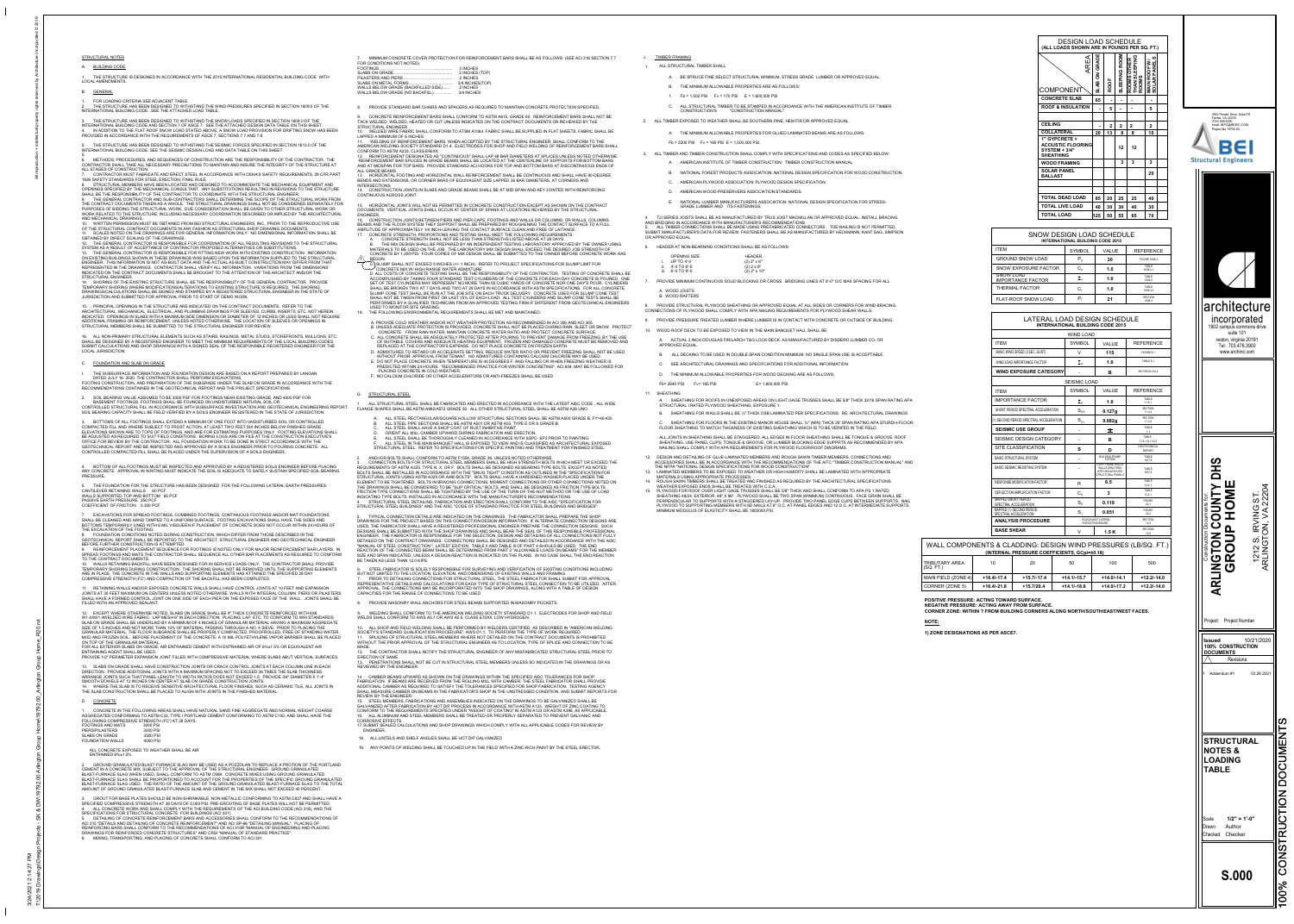6. STEEL FABRICATOR IS SOLELY RESPONSIBLE FOR SURVEYING AND VERIFICATION OF EXISTING CONDITIONS INCLUDING BUT NOT LIMITED TO THE LOCATION, ELEVATION, AND DIMENSIONS OF EXISTING WALLS AND FRAMING. 7. PRIOR TO DETAILING CONNECTIONS FOR STRUCTURAL STEEL, THE STEEL FABRICATOR SHALL SUBMIT FOR APPROVAL REPRESENTATIVE DETAILS AND CALCULATIONS FOR EACH TYPE OF STRUCTURAL STEEL CONNECTION TO BE UTILIZED. AFTER APPROVAL, THE CONNECTIONS MAY BE INCORPORATED INTO THE SHOP DRAWINGS, ALONG WITH A TABLE OF DESIGN CAPACITIES FOR THE RANGE OF CONNECTIONS TO BE USED.

8. PROVIDE MASONRY WALL ANCHORS FOR STEEL BEAMS SUPPORTED IN MASONRY POCKETS.

9. WELDING SHALL CONFORM TO THE AMERICAN WELDING SOCIETY STANDARD D1.1. ELECTRODES FOR SHOP AND FIELD WELDS SHALL CONFORM TO AWS A5.1 OR AWS A5.5, CLASS E70XX, LOW HYDROGEN.

10. ALL SHOP AND FIELD WELDING SHALL BE PERFORMED BY WELDERS CERTIFIED, AS DESCRIBED IN "AMERICAN WELDING SOCIETY'S STANDARD QUALIFICATION PROCEDURE", AWS D1.1, TO PERFORM THE TYPE OF WORK REQUIRED. 11. SPLICING OF STRUCTURAL STEEL MEMBERS WHERE NOT DETAILED ON THE CONTRACT DOCUMENTS IS PROHIBITED WITHOUT THE PRIOR APPROVAL OF THE STRUCTURAL ENGINEER AS TO LOCATION, TYPE OF SPLICE AND CONNECTION TO BE 12. THE CONTRACTOR SHALL NOTIFY THE STRUCTURAL ENGINEER OF ANY MISFABRICATED STRUCTURAL STEEL PRIOR TO ERECTION OF SAME. 13. PENETRATIONS SHALL NOT BE CUT IN STRUCTURAL STEEL MEMBERS UNLESS SO INDICATED IN THE DRAWINGS OR AS REVIEWED BY THE ENGINEER.

MADE.

| LOCAL AMENDMENTS.        |                                                                                                                                                                                                                                                                                                                                                                                                    |  |  |  |  |
|--------------------------|----------------------------------------------------------------------------------------------------------------------------------------------------------------------------------------------------------------------------------------------------------------------------------------------------------------------------------------------------------------------------------------------------|--|--|--|--|
| <b>B.</b>                | <b>GENERAL</b>                                                                                                                                                                                                                                                                                                                                                                                     |  |  |  |  |
| $1_{-}$<br>$\mathcal{P}$ | FOR LOADING CRITERIA SEE ADJACENT TABLE.<br>THE STRUCTURE HAS BEEN DESIGNED TO WITHSTAND THE WIND PRESSURES SPECIFIED IN SECTION 1609.0 OF THE<br>INTERNATIONAL BUILDING CODE. SEE THE ATTACHED LOAD TABLE.                                                                                                                                                                                        |  |  |  |  |
| 3 <sub>1</sub><br>4      | THE STRUCTURE HAS BEEN DESIGNED TO WITHSTAND THE SNOW LOADS SPECIFIED IN SECTION 1608.0 OF THE<br>INTERNATIONAL BUILDING CODE AND SECTION 7 OF ASCE 7. SEE THE ATTACHED DESIGN DATA TABLE ON THIS SHEET.<br>IN ADDITION TO THE FLAT ROOF SNOW LOAD STATED ABOVE. A SNOW LOAD PROVISION FOR DRIFTING SNOW HAS BEEN<br>PROVIDED IN ACCORDANCE WITH THE REQUIREMENTS OF ASCE 7, SECTIONS 7.7 AND 7.8. |  |  |  |  |
| $5 -$<br>5.              | THE STRUCTURE HAS BEEN DESIGNED TO WITHSTAND THE SEISMIC FORCES SPECIFIED IN SECTION 1613.0 OF THE<br>INTERNATIONAL BUILDING CODE. SEE THE SEISMIC DESIGN LOAD AND DATA TABLE ON THIS SHEET.                                                                                                                                                                                                       |  |  |  |  |
| 6.                       | METHODS, PROCEDURES, AND SEQUENCES OF CONSTRUCTION ARE THE RESPONSIBILITY OF THE CONTRACTOR. THE<br>CONTRACTOR SHALL TAKE ALL NECESSARY PRECAUTIONS TO MAINTAIN AND INSURE THE INTEGRITY OF THE STRUCTURE AT<br>ALL STAGES OF CONSTRUCTION.                                                                                                                                                        |  |  |  |  |
| 7                        | CONTRACTOR MUST FABRICATE AND ERECT STEEL IN ACCORDANCE WITH OSHA'S SAFETY REQUIREMENTS, 29 CFR PART<br>1926 SAFETY STANDARDS FOR STEEL ERECTION; FINAL RULE.                                                                                                                                                                                                                                      |  |  |  |  |
| 8                        | STRUCTURAL MEMBERS HAVE BEEN LOCATED AND DESIGNED TO ACCOMMODATE THE MECHANICAL EQUIPMENT AND<br>OPENINGS SPECIFIED BY THE MECHANICAL CONSULTANT. ANY SUBSTITUTIONS RESULTING IN REVISIONS TO THE STRUCTURE                                                                                                                                                                                        |  |  |  |  |

14 CAMBER BEAMS UPWARD AS SHOWN ON THE DRAWINGS WITHIN THE SPECIFIED AISC TOLERANCES FOR SHOP FABRICATION. IF BEAMS ARE RECEIVED FROM THE ROLLING MILL WITH CAMBER, THE STEEL FABRICATOR SHALL PROVIDE ADDITIONAL CAMBER AS REQUIRED TO SATISFY THE TOLERANCES SPECIFIED FOR SHOP FABRICATION. TESTING AGENCY SHALL MEASURE CAMBER ON BEAMS IN THE FABRICATOR'S SHOP IN THE UNSTRESSED CONDITION, AND SUBMIT REPORTS FOR REVIEW BY THE ENGINEER. 15. STEEL MEMBERS, FABRICATIONS AND ASSEMBLIES INDICATED ON THE DRAWINGS TO BE GALVANIZED SHALL BE

GALVANIZED AFTER FABRICATION BY HOT DIP PROCESS IN ACCORDANCE WITH ASTM A123. WEIGHT OF ZINC COATING TO CONFORM TO THE REQUIREMENTS SPECIFIED UNDER "WEIGHT OF COATING" IN ASTM A123 OR ASTM A386, AS APPLICABLE. 16. ALL ALUMINUM AND STEEL MEMBERS SHALL BE TREATED OR PROPERLY SEPARATED TO PREVENT GALVANIC AND CORROSIVE EFFECTS. 17.SUBMIT SEALED CALCULATIONS AND SHOP DRAWINGS WHICH COMPLY WITH ALL APPLICABLE CODES FOR REVIEW BY

ENGINEER.

18. ALL LINTELS AND SHELF ANGLES SHALL BE HOT DIP GALVANIZED

RECTION; FINAL RULE. EN LOCATED AND DESIGNED TO ACCOMMODATE THE MECHANICAL EQUIPMENT AND IICAL CONSULTANT. ANY SUBSTITUTIONS RESULTING IN REVISIONS TO THE STRUCTURE SHALL BE THE RESPONSIBILITY OF THE CONTRACTOR TO COORDINATE WITH THE STRUCTURAL ENGINEER. 9. THE GENERAL CONTRACTOR AND SUB-CONTRACTORS SHALL DETERMINE THE SCOPE OF THE STRUCTURAL WORK FROM THE CONTRACT DOCUMENTS TAKEN AS A WHOLE. THE STRUCTURAL DRAWINGS SHALL NOT BE CONSIDERED SEPARATELY FOR PURPOSES OF BIDDING THE STRUCTURAL WORK. DUE CONSIDERATION SHALL BE GIVEN TO OTHER STRUCTURAL WORK OR WORK RELATED TO THE STRUCTURE, INCLUDING NECESSARY COORDINATION DESCRIBED OR IMPLIED BY THE ARCHITECTURAL AND MECHANICAL DRAWINGS. 10. WRITTEN PERMISSION MUST BE OBTAINED FROM BEI STRUCTURAL ENGINEERS, INC., PRIOR TO THE REPRODUCTIVE USE OF THE STRUCTURAL CONTRACT DOCUMENTS IN ANY FASHION AS STRUCTURAL SHOP DRAWING DOCUMENTS. 11. SCALES NOTED ON THE DRAWINGS ARE FOR GENERAL INFORMATION ONLY. NO DIMENSIONAL INFORMATION SHALL BE OBTAINED BY DIRECT SCALING OF THE DRAWINGS.

19. ANY POINTS OF WELDING SHALL BE TOUCHED UP IN THE FIELD WITH A ZINC-RICH PAINT BY THE STEEL ERECTOR.

STRUCTURAL NOTES

A. BUILDING CODE

1. THE STRUCTURE IS DESIGNED IN ACCORDANCE WITH THE 2015 INTERNATIONAL RESIDENTIAL BUILDING CODE WITH

THE SUBSURFACE INFORMATION AND FOUNDATION DESIGN ARE BASED ON A REPORT PREPARED BY LANGAN DATED JULY 16. 2020. THE CONTRACTOR SHALL PERFORM EXCAVATIONS,

12. THE GENERAL CONTRACTOR IS RESPONSIBLE FOR COORDINATION OF ALL RESULTING REVISIONS TO THE STRUCTURAL SYSTEM AS A RESULT OF ACCEPTANCE OF CONTRACTOR PROPOSED ALTERNATIVES OR SUBSTITUTIONS. 13. THE GENERAL CONTRACTOR IS RESPONSIBLE FOR FITTING NEW WORK WITH EXISTING CONSTRUCTION. INFORMATION ON EXISTING BUILDINGS SHOWN IN THESE DRAWINGS WAS BASED UPON THE INFORMATION SUPPLIED TO THE STRUCTURAL ENGINEER. THIS INFORMATION IS NOT AS-BUILT DATA AND THE ACTUAL AS-BUILT CONSTRUCTION MAY DIFFER FROM THAT REPRESENTED IN THE DRAWINGS. CONTRACTOR SHALL VERIFY ALL INFORMATION. VARIATIONS FROM THE DIMENSIONS INDICATED ON THE CONTRACT DOCUMENTS SHALL BE BROUGHT TO THE ATTENTION OF THE ARCHITECT AND/OR THE STRUCTURAL ENGINEER.

14. SHORING OF THE EXISTING STRUCTURE SHALL BE THE RESPONSIBILITY OF THE GENERAL CONTRACTOR. PROVIDE TEMPORARY SHORING WHERE MODIFICATIONS/ALTERATIONS TO EXISTING STRUCTURE IS REQUIRED. THE SHORING DRAWINGS/CALCULATIONS SHALL BE SIGNED AND STAMPED BY A REGISTERED STRUCTURAL ENGINEER IN THE STATE OF JURISDICTION AND SUBMITTED FOR APPROVAL PRIOR TO START OF DEMO WORK.

1. CONCRETE IN THE FOLLOWING AREAS SHALL HAVE NATURAL SAND FINE AGGREGATE AND NORMAL WEIGHT COARSE AGGREGATES CONFORMING TO ASTM C33, TYPE I PORTLAND CEMENT CONFORMING TO ASTM C150, AND SHALL HAVE THE FOLLOWING COMPRESSIVE STRENGTH (FC') AT 28 DAYS: FOOTINGS AND MATS 3000 PSI

15. PRINCIPAL OPENINGS IN THE STRUCTURE ARE INDICATED ON THE CONTRACT DOCUMENTS. REFER TO THE ARCHITECTURAL, MECHANICAL, ELECTRICAL, AND PLUMBING DRAWINGS FOR SLEEVES, CURBS, INSERTS, ETC. NOT HEREIN INDICATED. OPENINGS IN SLABS WITH A MAXIMUM SIDE DIMENSION OR DIAMETER OF 12 INCHES OR LESS SHALL NOT REQUIRE ADDITIONAL FRAMING OR REINFORCEMENT, UNLESS NOTED OTHERWISE. THE LOCATION OF SLEEVES OR OPENINGS IN STRUCTURAL MEMBERS SHALL BE SUBMITTED TO THE STRUCTURAL ENGINEER FOR REVIEW.

16. ALL NON-PRIMARY STRUCTURAL ELEMENTS SUCH AS STAIRS, RAILINGS, METAL STUDS, STOREFRONTS, MULLIONS, ETC. SHALL BE DESIGNED BY A REGISTERED ENGINEER TO MEET THE MINIMUM REQUIREMENTS OF THE LOCAL BUILDING CODES. SUBMIT CALCULATIONS AND SHOP DRAWINGS WITH A SIGNED SEAL OF THE RESPONSIBLE REGISTERED ENGINEER FOR THE LOCAL JURISDICTION.

### C. FOUNDATION AND SLAB ON GRADE

FOOTING CONSTRUCTION, AND PREPARATION OF THE SUBGRADE UNDER THE SLAB ON GRADE IN ACCORDANCE WITH THE RECOMMENDATIONS CONTAINED IN THE GEOTECHNICAL REPORT AND THE PROJECT SPECIFICATIONS.

2. SOIL BEARING VALUE ASSUMED TO BE 3000 PSF FOR FOOTINGS NEAR EXISTING GRADE, AND 4000 PSF FOR BASEMENT FOOTINGS. FOOTINGS SHALL BE FOUNDED ON UNDISTURBED NATURAL SOIL OR CONTROLLED STRUCTURAL FILL IN ACCORDANCE WITH SUBSURFACE INVESTIGATION AND GEOTECHNICAL ENGINEERING REPORT. SOIL BEARING CAPACITY SHALL BE FIELD VERIFIED BY A SOILS ENGINEER REGISTERED IN THE STATE OF JURISDICTION.

16. CONSTRUCTION JOINTS BETWEEN PIERS AND PIER CAPS, FOOTINGS AND WALLS OR COLUMNS, OR WALLS, COLUMNS, BEAMS AND THE FLOOR SYSTEM THEY SUPPORT SHALL BE PREPARED BY ROUGHENING THE CONTACT SURFACE TO A FULL AMPLITUDE OF APPROXIMATELY 1/4 INCH LEAVING THE CONTACT SURFACE CLEAN AND FREE OF LAITANCE. 17. CONCRETE STRENGTH, PROPORTIONS AND TESTING SHALL MEET THE FOLLOWING REQUIREMENTS: CONCRETE STRENGTH SHALL NOT BE LESS THAN STRENGTHS LISTED ABOVE AT 28 DAYS.

3. BOTTOMS OF ALL FOOTINGS SHALL EXTEND A MINIMUM OF ONE FOOT INTO UNDISTURBED SOIL OR CONTROLLED COMPACTED FILL AND WHERE SUBJECT TO FROST ACTION, AT LEAST TWO FEET SIX INCHES BELOW FINISHED GRADE. ELEVATIONS SHOWN ARE TO TOPS OF FOOTINGS, AND ARE FOR ESTIMATING PURPOSES ONLY. FOOTING ELEVATIONS SHALL BE ADJUSTED AS REQUIRED TO SUIT FIELD CONDITIONS. BORING LOGS ARE ON FILE AT THE CONSTRUCTION EXECUTIVE'S OFFICE FOR REVIEW BY THE CONTRACTOR. ALL FOUNDATION WORK TO BE DONE IN STRICT ACCORDANCE WITH THE GEOTECHNICAL REPORT AND BE INSPECTED AND APPROVED BY A SOILS ENGINEER PRIOR TO POURING CONCRETE. ALL CONTROLLED COMPACTED FILL SHALL BE PLACED UNDER THE SUPERVISION OF A SOILS ENGINEER.

4. BOTTOM OF ALL FOOTINGS MUST BE INSPECTED AND APPROVED BY A REGISTERED SOILS ENGINEER BEFORE PLACING ANY CONCRETE. APPROVAL IN WRITING MUST INDICATE THE SOIL IS ADEQUATE TO SAFELY SUSTAIN SPECIFIED SOIL BEARING PRESSURE.

5. THE FOUNDATION FOR THE STRUCTURE HAS BEEN DESIGNED FOR THE FOLLOWING LATERAL EARTH PRESSURES: CANTILEVER RETAINING WALLS 60 PCF WALLS SUPPORTED TOP AND BOTTOM 65 PCF

#### PASSIVE EARTH PRESSURE 250 PCF COEFFICIENT OF FRICTION 0.300 PCF

7. EXCAVATIONS FOR SPREAD FOOTINGS, COMBINED FOOTINGS, CONTINUOUS FOOTINGS AND/OR MAT FOUNDATIONS SHALL BE CLEANED AND HAND TAMPED TO A UNIFORM SURFACE. FOOTING EXCAVATIONS SHALL HAVE THE SIDES AND BOTTOMS TEMPORARILY LINED WITH 6 MIL VISQUEEN IF PLACEMENT OF CONCRETE DOES NOT OCCUR WITHIN 24 HOURS OF THE EXCAVATION OF THE FOOTING. 8. FOUNDATION CONDITIONS NOTED DURING CONSTRUCTION, WHICH DIFFER FROM THOSE DESCRIBED IN THE

ALL STRUCTURAL STEEL SHALL BE FABRICATED AND ERECTED IN ACCORDANCE WITH THE LATEST AISC CODE. ALL WIDE FLANGE SHAPES SHALL BE ASTM A992/A572 GRADE 50. ALL OTHER STRUCTURAL STEEL SHALL BE ASTM A36 UNO.

GEOTECHNICAL REPORT SHALL BE REPORTED TO THE ARCHITECT, STRUCTURAL ENGINEER AND GEOTECHNICAL ENGINEER BEFORE FURTHER CONSTRUCTION IS ATTEMPTED. 9. REINFORCEMENT PLACEMENT SEQUENCE FOR FOOTINGS IS NOTED ONLY FOR MAJOR REINFORCEMENT BAR LAYERS. IN SPREAD FOOTINGS AND MATS THE CONTRACTOR SHALL SEQUENCE ALL OTHER BAR PLACEMENTS AS REQUIRED TO CONFORM TO THE CONTRACT DOCUMENTS.

ALL STEEL RECTANGULAR/SQUARE HOLLOW STRUCTURAL SECTIONS SHALL BE ASTM A500 GRADE B, FY=46 KSI. B. ALL STEEL PIPE SECTIONS SHALL BE ASTM A501 OR ASTM A53, TYPE E OR S GRADE B. ALL STEEL SHALL HAVE A SHOP COAT OF RUST INHIBITIVE PAINT. D. ORIENT ALL MILL CAMBER UPWARD DURING FABRICATION AND ERECTION.

ALL STEEL SHALL BE THOROUGHLY CLEANED IN ACCORDANCE WITH SSPC- SP3 PRIOR TO PAINTING. ALL STEEL IN THE MAIN BANQUET HALL IS EXPOSED TO VIEW AND IS CLASSIFIED AS ARCHITECTURAL EXPOSED STRUCTURAL STEEL. REFER TO SPECIFICATIONS FOR SPECIFIC PAINTING AND TREATMENT FOR FINISHED STEEL.

10. WALLS RETAINING BACKFILL HAVE BEEN DESIGNED FOR IN SERVICE LOADS ONLY. THE CONTRACTOR SHALL PROVIDE TEMPORARY SHORING DURING CONSTRUCTION. THE SHORING SHALL NOT BE REMOVED UNTIL THE SUPPORTING ELEMENTS ARE IN PLACE, THE CONCRETE IN THE WALLS AND SUPPORTING ELEMENTS HAS ATTAINED THE SPECIFIED 28 DAY COMPRESSIVE STRENGTH (FC') AND COMPACTION OF THE BACKFILL HAS BEEN COMPLETED.

11. RETAINING WALLS AND/OR EXPOSED CONCRETE WALLS SHALL HAVE CONTROL JOINTS AT 10 FEET AND EXPANSION JOINTS AT 30 FEET MAXIMUM ON CENTERS UNLESS NOTED OTHERWISE. WALLS WITH INTEGRAL COLUMN PIERS OR PILASTERS SHALL HAVE A FORMED CONTROL JOINT ON ONE SIDE OF EACH PIER ON THE EXPOSED FACE OF THE WALL. JOINTS SHALL BE FILLED WITH AN APPROVED SEALANT.

12. EXCEPT WHERE OTHERWISE NOTED, SLABS ON GRADE SHALL BE 4" THICK CONCRETE REINFORCED WITH 6X6 W1.4XW1.4WELDED WIRE FABRIC. LAP MESH 6" IN EACH DIRECTION. PLACING, LAP, ETC. TO CONFORM TO WRI STANDARDS. SLAB ON GRADE SHALL BE UNDERLAID BY A MINIMUM OF 4 INCHES OF GRANULAR MATERIAL HAVING A MAXIMUM AGGREGATE SIZE OF 1.5 INCHES AND NOT MORE THAN 10% OF MATERIAL PASSING THROUGH A NO. 4 SIEVE. PRIOR TO PLACING THE GRANULAR MATERIAL, THE FLOOR SUBGRADE SHALL BE PROPERLY COMPACTED, PROOFROLLED, FREE OF STANDING WATER, MUD AND FROZEN SOIL. BEFORE PLACEMENT OF THE CONCRETE, A 10 MIL POLYETHYLENE VAPOR BARRIER SHALL BE PLACED ON TOP OF THE GRANULAR MATERIAL. FOR ALL EXTERIOR SLABS ON GRADE, AIR ENTRAINED CEMENT WITH ENTRAINED AIR OF 6%±1.5% OR EQUIVALENT AIR

ENTRAINING AGENT SHALL BE USED. PROVIDE 1/2" PERIMETER EXPANSION JOINT FILLED WITH COMPRESSIVE MATERIAL WHERE SLABS ABUT VERTICAL SURFACES. 13. SLABS ON GRADE SHALL HAVE CONSTRUCTION JOINTS OR CRACK CONTROL JOINTS AT EACH COLUMN LINE IN EACH

DIRECTION. PROVIDE ADDITIONAL JOINTS WITH A MAXIMUM SPACING NOT TO EXCEED 36 TIMES THE SLAB THICKNESS. ARRANGE JOINTS SUCH THAT PANEL LENGTH TO WIDTH RATIOS DOES NOT EXCEED 1.5. PROVIDE 3/4" DIAMETER X 1'-4" SMOOTH DOWELS AT 12 INCHES ON CENTER AT SLAB ON GRADE CONSTRUCTION JOINTS. 14. WHERE THE SLAB IS TO RECEIVE SENSITIVE ARCHITECTURAL FLOOR FINISHES, SUCH AS CERAMIC TILE, ALL JOINTS IN THE SLAB CONSTRUCTION SHALL BE PLACED TO ALIGN WITH JOINTS IN THE FINISHED MATERIAL.

### D. CONCRETE

SHEATHING FOR FLOORS IN THE EXISTING MANOR HOUSE SHALL ¾" (MIN) THICK 20' SPAN RATING APA STURDI-I-FLOOR. FLOOR SHEATHING TO MATCH THICKNESS OF EXISTING SHEATHING WHICH IS TO BE VERIFED IN THE FIELD.

 ALL CONCRETE EXPOSED TO WEATHER SHALL BE AIR ENTRAINED 6%±1.5%.

2. GROUND GRANULATED BLAST-FURNACE SLAG MAY BE USED AS A POZZOLAN TO REPLACE A PROTION OF THE PORTLAND CEMENT IN A CONCRETE MIX, SUBJECT TO THE APPROVAL OF THE STRUCTURAL ENGINEER. GROUND GRANULATED BLAST-FURNACE SLAG WHEN USED, SHALL CONFORM TO ASTM C989. CONCRETE MIXES USING GROUND GRANULATED BLAST-FURNACE SLAG SHALL BE PROPORTIONED TO ACCOUNT FOR THE PROPERTIES OF THE SPECIFIC GROUND GRANULATED BLAST-FURNACE SLAG USED. THE RATIO OF THE AMOUNT OF THE GROUND GRANULATED BLAST-FURNACE SLAG TO THE TOTAL AMOUNT OF GROUND GRANULATED BLAST-FURNACE SLAB AND CEMENT IN THE MIX SHALL NOT EXCEED 40 PERCENT.

3. GROUT FOR BASE PLATES SHOULD BE NON-SHRINKABLE, NON-METALLIC CONFORMING TO ASTM C827 AND SHALL HAVE A SPECIFIED COMPRESSIVE STRENGTH AT 28 DAYS OF 5,000 PSI. PRE-GROUTING OF BASE PLATES WILL NOT BE PERMITTED. 4. ALL CONCRETE WORK AND SHALL COMPLY WITH THE REQUIREMENTS OF THE ACI BUILDING CODE (ACI 318), AND THE SPECIFICATIONS FOR STRUCTURAL CONCRETE FOR BUILDINGS (ACI 301). 5. DETAILING OF CONCRETE REINFORCEMENT BARS AND ACCESSORIES SHALL CONFORM TO THE RECOMMENDATIONS OF ACI 315 "DETAILS AND DETAILING OF CONCRETE REINFORCEMENT" AND ACI SP-66 "DETAILING MANUAL". PLACING OF REINFORCING BARS SHALL CONFORM TO THE RECOMMENDATIONS OF ACI 315R "MANUAL OF ENGINEERING AND PLACING DRAWINGS FOR REINFORCED CONCRETE STRUCTURES" AND CRSI "MANUAL OF STANDARD PRACTICE". 6. MIXING, TRANSPORTING, AND PLACING OF CONCRETE SHALL CONFORM TO ACI 301.

| FOR CONDITIONS NOT NOTED)           | MINIMUM CONCRETE COVER PROTECTION FOR REINFORCEMENT BARS SHALL BE AS FOLLOWS: (SEE ACI 318 SECTION 7.7 |
|-------------------------------------|--------------------------------------------------------------------------------------------------------|
| WALLS BELOW GRADE (BACKFILLED SIDE) | 3 INCHES<br>2 INCHES (TOP)<br>2 INCHES<br>3/4 INCHES(TOP)<br>2 INCHES                                  |

8. PROVIDE STANDARD BAR CHAIRS AND SPACERS AS REQUIRED TO MAINTAIN CONCRETE PROTECTION SPECIFIED. 9. CONCRETE REINFORCEMENT BARS SHALL CONFORM TO ASTM A615, GRADE 60. REINFORCEMENT BARS SHALL NOT BE TACK WELDED, WELDED, HEATED OR CUT UNLESS INDICATED ON THE CONTRACT DOCUMENTS OR REVIEWED BY THE

STRUCTURAL ENGINEER. 10. WELDED WIRE FABRIC SHALL CONFORM TO ATSM A1064. FABRIC SHALL BE SUPPLIED IN FLAT SHEETS. FABRIC SHALL BE LAPPED A MINIMUM OF 6 INCHES. 11. `WELDING OF REINFORCEMENT BARS, WHEN ACCEPTED BY THE STRUCTURAL ENGINEER, SHALL CONFORM TO THE

AMERICAN WELDING SOCIETY STANDARD D1.4. ELECTRODES FOR SHOP AND FIELD WELDING OF REINFORCEMENT BARS SHALL CONFORM TO ASTM A233, CLASS E90XX. 12. REINFORCEMENT DESIGNATED AS "CONTINUOUS" SHALL LAP 48 BAR DIAMETERS AT SPLICES UNLESS NOTED OTHERWISE. REINFORCEMENT BAR SPLICES IN GRADE BEAMS SHALL BE LOCATED AT THE CENTERLINE OF SUPPORTS FOR BOTTOM BARS

AND AT MIDSPAN FOR TOP BARS. PROVIDE STANDARD ACI HOOKS FOR TOP AND BOTTOM BARS AT DISCONTINUOUS ENDS OF

ALL GRADE BEAMS. 13. HORIZONTAL FOOTING AND HORIZONTAL WALL REINFORCEMENT SHALL BE CONTINUOUS AND SHALL HAVE 90-DEGREE BENDS AND EXTENSIONS, OR CORNER BARS OF EQUIVALENT SIZE LAPPED 36 BAR DIAMETERS, AT CORNERS AND INTERSECTIONS. 14. CONSTRUCTION JOINTS IN SLABS AND GRADE BEAMS SHALL BE AT MID-SPAN AND KEY JOINTED WITH REINFORCING CONTINUOUS ACROSS JOINT.

15. HORIZONTAL JOINTS WILL NOT BE PERMITTED IN CONCRETE CONSTRUCTION EXCEPT AS SHOWN ON THE CONTRACT DOCUMENTS. VERTICAL JOINTS SHALL OCCUR AT CENTER OF SPANS AT LOCATIONS REVIEWED BY THE STRUCTURAL

ENGINEER.

B. THE MIX DESIGN SHALL BE PREPARED BY AN INDEPENDENT TESTING LABORATORY APPROVED BY THE OWNER USING MATERIALS TO BE USED ON THE JOB. THE LABORATORY MIX DESIGN SHALL EXCEED THE DESIRED JOB STRENGTH OF CONCRETE BY 1,200 PSI. FOUR COPIES OF MIX DESIGN SHALL BE SUBMITTED TO THE OWNER BEFORE CONCRETE WORK HAS BEGUN. C. SLUMP SHALL NOT EXCEED 5 INCHES (+/- 1 INCH). REFER TO PROJECT SPECIFICATIONS FOR SLUMP LIMIT FOR

18. THE FOLLOWING ENVIRONMENTAL REQUIREMENTS SHALL BE MET AND MAINTAINED:

A. PROVIDE COLD WEATHER AND/OR HOT WEATHER PROTECTION AS RECOMMENDED IN ACI 306 AND ACI 305. B. UNLESS ADEQUATE PROTECTION IS PROVIDED, CONCRETE SHALL NOT BE PLACED DURING RAIN, SLEET OR SNOW. PROTECT CONCRETE FROM RAIN WATER, MAINTAIN CONCRETE WATER RATIO AND PROTECT CONCRETE SURFACE. C. ALL CONCRETE SHALL BE ADEQUATELY PROTECTED AFTER POURING TO PREVENT DAMAGE FROM FREEZING, BY THE USE OF SUITABLE COVERS AND ADEQUATE HEATING EQUIPMENT. FROZEN AND DAMAGED CONCRETE MUST BE REMOVED AND REPLACED AT THE CONTRACTOR'S EXPENSE. DO NOT PLACE CONCRETE ON FROZEN EARTH. D. ADMIXTURES TO RETARD OR ACCELERATE SETTING, REDUCE WATER RATIO OR PREVENT FREEZING SHALL NOT BE USED WITHOUT PRIOR APPROVAL FROM TENANT. NO ADMIXTURES CONTAINING CALCIUM CHLORIDE MAY BE USED. E. DO NOT PLACE CONCRETE WHEN TEMPERATURE IS 40 DEGREES F. AND FALLING OR WHEN FREEZING WEATHER IS PREDICTED WITHIN 24 HOURS. "RECOMMENDED PRACTICE FOR WINTER CONCRETING", ACI 604, MAY BE FOLLOWED FOR PLACING CONCRETE IN COLD WEATHER. F. NO CALCIUM CHLORIDE OR OTHER ACCELERATORS OR ANTI-FREEZES SHALL BE USED.

<u>STRUCTURAL STEEL</u>

| PIERS/PILASTERS         | 3000 PSI |
|-------------------------|----------|
| SLABS ON GRADE          | 3500 PSI |
| <b>FOUNDATION WALLS</b> | 4000 PSI |
|                         |          |

2. ANCHOR BOLTS SHALL CONFORM TO ASTM F1554, GRADE 36, UNLESS NOTED OTHERWISE. 3. CONNECTION BOLTS FOR STRUCTURAL STEEL MEMBERS SHALL BE HIGH STRENGTH BOLTS WHICH MEET OR EXCEED THE REQUIREMENTS OF ASTM A325, TYPE N, X, OR F. BOLTS SHALL BE DESIGNED AS BEARING TYPE BOLTS, EXCEPT AS NOTED. BOLTS SHALL BE INSTALLED IN ACCORDANCE WITH THE "SNUG TIGHT" CONDITION AS OUTLINED IN THE "SPECIFICATION FOR STRUCTURAL JOINTS USING ASTM A325 OR A490 BOLTS". BOLTS SHALL HAVE A HARDENED WASHER PLACED UNDER THE ELEMENT TO BE TIGHTENED. BOLTS IN BRACING CONNECTIONS, MOMENT CONNECTIONS OR OTHER CONNECTIONS NOTED ON THE DRAWINGS SHALL BE CONSIDERED TO BE "SLIP CRITICAL" BOLTS, AND SHALL BE DESIGNED AS FRICTION TYPE BOLTS. FRICTION TYPE CONNECTIONS SHALL BE TIGHTENED BY THE USE OF THE TURN-OF-THE-NUT METHOD OR THE USE OF LOAD INDICATING TYPE BOLTS, INSTALLED IN ACCORDANCE WITH THE MANUFACTURER'S RECOMMENDATIONS. 4. STRUCTURAL STEEL DETAILING, FABRICATION AND ERECTION SHALL CONFORM TO THE AISC "SPECIFICATION FOR STRUCTURAL STEEL BUILDINGS" AND THE AISC "CODE OF STANDARD PRACTICE FOR STEEL BUILDINGS AND BRIDGES".

5. TYPICAL CONNECTION DETAILS ARE INDICATED ON THE DRAWINGS. THE FABRICATOR SHALL PREPARE THE SHOP DRAWINGS FOR THE PROJECT BASED ON THIS CONNECTION DESIGN INFORMATION. IF ALTERNATE CONNECTION DESIGNS ARE USED, THE FABRICATOR SHALL HAVE A REGISTERED PROFESSIONAL ENGINEER PREPARE THE CONNECTION DESIGNS. SUCH DESIGNS SHALL BE SUBMITTED WITH THE SHOP DRAWINGS AND SHALL BEAR THE SEAL OF THIS RESPONSIBLE PROFESSIONAL ENGINEER. THE FABRICATOR IS RESPONSIBLE FOR THE SELECTION, DESIGN AND DETAILING OF ALL CONNECTIONS NOT FULLY DETAILED ON THE CONTRACT DRAWINGS. CONNECTIONS SHALL BE DESIGNED AND DETAILED IN ACCORDANCE WITH THE AISC "MANUAL OF STEEL CONSTRUCTION ", LATEST EDITION. TABLE II AND TABLE III OF PART 4 SHOULD BE USED. THE END REACTION OF THE CONNECTED BEAM SHALL BE DETERMINED FROM PART 2 "ALLOWABLE LOADS ON BEAMS" FOR THE MEMBER SIZE AND SPAN INDICATED, UNLESS A DESIGN REACTION IS INDICATED ON THE PLANS. IN NO CASE SHALL THE END REACTION BE TAKEN AS LESS THAN 12.0 KIPS.

D. ALL COSTS OF CONCRETE TESTING SHALL BE THE RESPONSIBILITY OF THE CONTRACTOR. TESTING OF CONCRETE SHALL BE ACCOMPLISHED BY TAKING FOUR STANDARD TEST CYLINDERS OF THE CONCRETE FOR EACH DAY CONCRETE IS POURED. ONE SET OF TEST CYLINDERS MAY REPRESENT NO MORE THAN 55 CUBIC YARDS OF CONCRETE NOR ONE DAY'S POUR. CYLINDERS SHALL BE BROKEN TWO AT 7 DAYS AND TWO AT 28 DAYS IN ACCORDANCE WITH ASTM SPECIFICATIONS. FOR ALL CONCRETE, SLUMP CONE TEST SHALL BE RUN AT THE JOB SITE ON EACH TRUCK DELIVERY. CONCRETE USED FOR SLUMP CONE TEST SHALL NOT BE TAKEN FROM FIRST OR LAST 15% OF EACH LOAD. ALL TEST CYLINDERS AND SLUMP CONE TESTS SHALL BE PERFORMED BY A QUALIFIED TECHNICIAN FROM AN APPROVED TESTING FIRM IF DIFFERENT FROM GEOTECHNICAL ENGINEERS USED TO MONITOR SITE GRADING. CONCRETE MIX W/ HIGH RANGE WATER ADMIXTURE

| J. | <b>TIMBER FRAMING</b> |                                                                                                      |
|----|-----------------------|------------------------------------------------------------------------------------------------------|
| 1. |                       | ALL STRUCTURAL TIMBER SHALL                                                                          |
|    | Α.                    | BE SPRUCE FINE SELECT STRUCTURAL MINIMUM, STRESS GI                                                  |
|    | <b>B.</b>             | THE MINIMUM ALLOWABLE PROPERTIES ARE AS FOLLOWS:                                                     |
|    | 1 <sub>1</sub>        | $Fb = 1,500$ PSI $Fv = 170$ PSI $E = 1,600,000$ PSI                                                  |
|    | C.                    | ALL STRUCTURAL TIMBER TO BE STAMPED IN ACCORDANCE<br><b>CONSTRUCTION'S</b><br>"CONSTRUCTION MANUAL". |
| 2. |                       | ALL TIMBER EXPOSED TO WEATHER SHALL BE SOUTHERN PINE, HEM FIR                                        |
|    | $\mathsf{A}_{\cdot}$  | THE MINIMUM ALLOWABLE PROPERTIES FOR GLUED LAMINAT                                                   |
|    |                       | $Fb = 2200$ PSI $Fv = 165$ PSI $E = 1,500,000$ PSI.                                                  |
| 3. |                       | ALL TIMBER AND TIMBER CONSTRUCTION SHALL COMPLY WITH SPECIFIC.                                       |
|    | $A_{-}$               | AMERICAN INSTITUTE OF TIMBER CONSTRUCTION: TIMBER O                                                  |
|    | B <sub>1</sub>        | NATIONAL FOREST PRODUCTS ASSOCIATION: NATIONAL DES                                                   |
|    | $C_{\cdot}$           | AMERICAN PLYWOOD ASSOCIATION: PLYWOOD DESIGN SPE                                                     |
|    | D.                    | AMERICAN WOOD-PRESERVERS ASSOCIATION STANDARDS.                                                      |
|    | Е.                    | NATIONAL LUMBER MANUFACTURERS ASSOCIATION: NATION<br><b>GRADE LUMBER AND ITS FASTENINGS.</b>         |
|    |                       |                                                                                                      |

### 4. TJI SERIES JOISTS SHALL BE AS MANUFACTURED BY TRUS JOIST MACMILLAN OR APPROVED EQUAL. INSTALL BRACING 5. ALL TIMBER CONNECTIONS SHALL BE MADE USING PREFABRICATED CONNECTORS. TOE-NAILING IS NOT PERMITTED.

6. FOLLOWS:

AND BRIDGING IN ACCORDANCE WITH MANUFACTURER'S RECOMMENDATIONS. SUBMIT MANUFACTURER'S DATA FOR REVIEW. FASTENERS SHALL BE AS MANUFACTURED BY HECKMANN, KANT SAG, SIMPSON OR APPROVED EQUAL.

|      |                                                      | HEADER AT NON-BEARNING CONDITIONS SHALL BE AS          |
|------|------------------------------------------------------|--------------------------------------------------------|
| ÎÎ.  | <b>OPENING SIZE</b><br>UP TO 4'-0<br>$4'$ -0 TO 6'-0 | <b>HEADER</b><br>$(2)$ 2" $\times$ 6"<br>$(2)$ 2 x 8"  |
| iii. | $6' - 0$ TO $9' - 0$                                 | $(2)$ 2" $\times$ 10"                                  |
|      |                                                      | <u>DDAVIDE MINIMUM CANTINIUAUS SALID DI ACIZING AD</u> |

7. PROVIDE MINIMUM CONTINUOUS SOLID BLOCKING OR CROSS BRIDGING LINES AT 8'-0" O/C MAX SPACING FOR ALL

A. WOOD JOISTS B. WOOD RAFTERS

# 8. PROVIDE STRUCTURAL PLYWOOD SHEATHING OR APPROVED EQUAL AT ALL SIDES OR CORNERS FOR WIND BRACING.

CONNECTIONS OF PLYWOOD SHALL COMPLY WITH APA NAILING REQUIREMENTS FOR PLYWOOD SHEAR WALLS.

9. PROVIDE PRESSURE TREATED LUMBER WHERE LUMBER IS IN CONTACT WITH CONCRETE OR OUTSIDE OF BUILDING. 10. WOOD ROOF DECK TO BE EXPOSED TO VIEW IN THE MAIN BANQUET HALL SHALL BE

A. ACTUAL 3 INCH DOUGLAS FIR/LARCH T&G LOCK-DECK. AS MANUFACTURED BY DISDERO LUMBER CO. OR

A. SHEATHING FOR ROOFS IN UNEXPOSED AREAS ON LIGHT GAGE TRUSSES SHALL BE 5/8" THICK 32/16 SPAN RATING APA

B. SHEATHING FOR WALLS SHALL BE ½" THICK OSB LAMINATED PER SPECIFICATIONS. RE: ARCHITECTURAL DRAWINGS

ALL JOINTS IN SHEATHING SHALL BE STAGGERED. ALL EDGES IN FLOOR SHEATHING SHALL BE TONGUE & GROOVE. ROOF SHEATHING, USE PANEL CLIPS, TONGUE & GROOVE, OR LUMBER BLOCKING EDGE SUPPRTS AS RECOMMENDED BY APA.

- APPROVED EQUAL.
- B. ALL DECKING TO BE USED IN DOUBLE SPAN CONDITION MINIMUM. NO SINGLE SPAN USE IS ACCEPTABLE.
- C. SEE ARCHITECTURAL DRAWINGS AND SPECIFCIATIONS FOR ADDITIONAL INFORMATION.
- D. THE MINIMUM ALLOWABLE PROPERTIES FOR WOOD DECKING ARE AS FOLLOWS:
- Fb= 2640 PSI Fv= 165 PSI E= 1,800,000 PSI 11. SHEATHING
- STRUCTURAL I RATED PLYWOOD SHEATHING, EXPOSURE 1.
- 
- NAILING SHALL COMPLY WITH APA REQUIREMENTS FOR PLYWOOD FLOOR/ROOF DIAGRAMS.
- 12. DESIGN AND DETAILING OF GLUE-LAMINATED MEMBERS AND ROUGH SAWN TIMBER MEMBERS, CONNECTIONS AND
- THE NFPA "NATIONAL DESIGN SPECIFICATIONS FOR WOOD CONSTRUCTION". 13. LAMINATED MEMBERS TO BE EXPOSED TO WEATHER OR HIGH HUMIDITY SHALL BE LAMINATED WITH APPROPRIATE
- MATERIALS USING APPROPRIATE PROCESSES. 14. ROUGH SAWN TIMBERS SHALL BE TREATED AND FINISHED AS REQUIRED BY THE ARCHITECTURAL SPECIFICATIONS. WEATHER EXPOSED ENDS SHALL BE TREATED WITH C.C.A.
- 15. PLYWOOD FOR ROOF OVER LIGHT GAGE TRUSSES SHALL BE 5/8" THICK AND SHALL CONFORM TO APA PS 1 RATED PLYWOOD TO SUPPORTING MEMBERS WITH 8D NAILS AT 6" O.C. AT PANEL EDGES AND 12 O.C. AT INTERMEDIATE SUPPORTS. MINIMUM MODULUS OF ELASTICITY SHALL BE 1800000 PSI.

AUM, STRESS GRADE LUMBER OR APPROVED EQUAL

ACCORDANCE WITH THE AMERICAN INSTITUTE OF TIMBER

I PINE, HEM FIR OR APPROVED EQUAL.

. GLUED LAMINATED BEAMS ARE AS FOLLOWS:

## WITH SPECIFICATIONS AND CODES AS SPECIFIED BELOW:

TION: TIMBER CONSTRUCTION MANUAL. : NATIONAL DESIGN SPECIFICATION FOR WOOD CONSTRUCTION

OD DESIGN SPECIFICATION.

CIATION: NATIONAL DESIGN SPECIFICATION FOR STRESS-

ACCESSORIES SHALL BE IN ACCORDANCE WITH THE RECOMMENDATIONS OF THE AITC "TIMBER CONSTRUCTION MANUAL" AND

SHEATHING 48/24, EXTERIOR, 48" X 96". PLYWOOD SHALL BE TWO SPAN (MINIMUM) CONTINUOUS. FACE GRAIN SHALL BE PERPENDICULAR TO SUPPORTS WITH A STAGGERED LAY-UP. PROVIDE TWO PANEL EDGE CLIPS BETWEEN SUPPORTS. NAIL

1

### WALL COMPONENTS & CLADDING: DESIGN WIND PRESSURES (LB/SQ. FT.)

| (INTERNAL PRESSURE COEFFICIENTS, GCpi=±0.18) |                                    |               |               |               |                |             |
|----------------------------------------------|------------------------------------|---------------|---------------|---------------|----------------|-------------|
|                                              | <b>TRIBUTARY AREA</b><br>(SQ. FT.) | 10            | 20            | 50            | 100            | 500         |
|                                              | MAIN FIELD (ZONE 4)                | $+16.4/-17.4$ | $+15.7/-17.4$ | $+14.1/-15.7$ | +14.0/-14.1    | +12.2/-14.0 |
|                                              | CORNER (ZONE 5)                    | $+16.4/-21.8$ | +15.7/20.4    | $+14.1/-18.6$ | $+14.0 - 17.2$ | +12.2/-14.0 |

#### LATERAL LOAD DESIGN SCHEDULE **INTERNATIONAL BUILDING CODE 2015**

| SNOW DESIGN LOAD SCHEDULE<br><b>INTERNATIONAL BUILDING CODE 2015</b> |                                             |       |                          |  |
|----------------------------------------------------------------------|---------------------------------------------|-------|--------------------------|--|
| <b>ITEM</b>                                                          | <b>SYMBOL</b>                               | VALUE | <b>REFERENCE</b>         |  |
| <b>GROUND SNOW LOAD</b>                                              | $\mathsf{P}_\mathfrak{g}$                   | 30    | <b>FIGURE 1608.2</b>     |  |
| SNOW EXPOSURE FACTOR                                                 | $\mathsf{C}_{\scriptscriptstyle\mathsf{e}}$ | 1.0   | TABLE<br>1608.3.1        |  |
| <b>SNOW LOAD</b><br><b>IMPORTANCE FACTOR</b>                         |                                             | 1.0   | TABLE<br>1604.5          |  |
| <b>THERMAL FACTOR</b>                                                | $\mathrm{C_{t}}$                            | 1.0   | TABLE<br>1608.3.2        |  |
| FLAT-ROOF SNOW LOAD                                                  | Ρ                                           | 21    | <b>SECTION</b><br>1608.3 |  |

|                                                           | <b>DESIGN LOAD SCHEDULE</b><br>(ALL LOADS SHOWN ARE IN POUNDS PER SQ. FT.) |                                |              |                          |                                       |                                  |  |
|-----------------------------------------------------------|----------------------------------------------------------------------------|--------------------------------|--------------|--------------------------|---------------------------------------|----------------------------------|--|
|                                                           | AREA                                                                       | <b>ON GRADE</b><br><b>SLAB</b> | <b>ROOF</b>  | <b>SLEEPING ROOM</b>     | ROOMS OTHER<br>THAN SLEEPING<br>ROOMS | ທ<br>MAIN ROOF W/<br>SOLAR PANEL |  |
| <b>COMPONENT</b>                                          |                                                                            |                                |              |                          |                                       |                                  |  |
| <b>CONCRETE SLAB</b>                                      |                                                                            | 65                             |              |                          |                                       |                                  |  |
|                                                           | <b>ROOF &amp; INSULATION</b>                                               |                                | 5            |                          |                                       | 5                                |  |
|                                                           |                                                                            |                                |              |                          |                                       |                                  |  |
| <b>CEILING</b><br><b>COLLATERAL</b>                       |                                                                            | 20                             | 2<br>13      | 2<br>8                   | $\mathbf{2}$<br>8                     | $\mathbf 2$<br>10                |  |
| 1" GYPCRETE +<br><b>SYSTEM + 3/4"</b><br><b>SHEATHING</b> | <b>ACOUSTIC FLOORING</b>                                                   |                                |              | 12                       | 12                                    |                                  |  |
| <b>WOOD FRAMING</b>                                       |                                                                            |                                |              | 3                        | 3                                     | 3                                |  |
| <b>SOLAR PANEL</b><br><b>BALLAST</b>                      |                                                                            |                                |              |                          |                                       | 20                               |  |
|                                                           |                                                                            |                                |              |                          |                                       |                                  |  |
| <b>TOTAL DEAD LOAD</b>                                    |                                                                            | 85                             | 20           | 25                       | 25                                    | 40                               |  |
| <b>TOTAL LIVE LOAD</b>                                    |                                                                            | 40                             | 30           | 30                       | 40                                    | 30                               |  |
| <b>TOTAL LOAD</b>                                         |                                                                            | 125                            | 50           | 55                       | 65                                    | 70                               |  |
|                                                           | OW DESIGN LOAD SCHEDULE<br><b>INTERNATIONAL BUILDING CODE 2015</b>         |                                |              |                          |                                       |                                  |  |
|                                                           | <b>SYMBOL</b>                                                              |                                | <b>VALUE</b> |                          |                                       | <b>REFERENO</b>                  |  |
| <b>OAC</b>                                                | $P_g$                                                                      |                                | 30           |                          |                                       | <b>FIGURE 1608.2</b>             |  |
| FACTOR                                                    | $\mathbf{C}_{\mathrm{e}}$                                                  |                                | 1.0          |                          | <b>TABLE</b><br>1608.3.1              |                                  |  |
| TOR                                                       | I <sub>s</sub>                                                             |                                | 1.0          |                          | <b>TABLE</b><br>1604.5                |                                  |  |
|                                                           | C <sub>t</sub>                                                             |                                | 1.0          |                          |                                       | <b>TABLE</b><br>1608.3.2         |  |
| $P_f$<br>/LOAD                                            |                                                                            | 21                             |              | <b>SECTION</b><br>1608.3 |                                       |                                  |  |
|                                                           | ERAL LOAD DESIGN SCHEDULE<br>NTERNATIONAL BUILDING CODE 2015               |                                |              |                          |                                       |                                  |  |
|                                                           | <b>WIND LOAD</b>                                                           |                                |              |                          |                                       |                                  |  |
|                                                           | <b>SYMBOL</b>                                                              |                                | <b>VALUE</b> |                          |                                       | <b>REFERENC</b>                  |  |
| <b>JUST)</b>                                              | V                                                                          |                                | 115          |                          |                                       | FIGURE 6-1                       |  |
| <b>CTOR</b><br>$I_{w}$                                    |                                                                            |                                | 1.0          |                          |                                       | TABLE 6-1                        |  |
| <b>CATEGORY</b>                                           |                                                                            |                                | B            |                          |                                       | <b>SECTION 6.5.6.2</b>           |  |
|                                                           | <b>SEISMIC LOAD</b>                                                        |                                |              |                          |                                       |                                  |  |
|                                                           | <b>SYMBOL</b>                                                              |                                | <b>VALUE</b> |                          |                                       | <b>REFERENC</b>                  |  |
| ГОR                                                       | $\texttt{I}_\texttt{E}$                                                    |                                | 1.0          |                          |                                       | <b>TABLE</b><br>$11.5 - 1$       |  |

|                                                     | <b>WIND LOAD</b>          |                                                                                                  |                                      |
|-----------------------------------------------------|---------------------------|--------------------------------------------------------------------------------------------------|--------------------------------------|
| <b>ITEM</b>                                         | <b>SYMBOL</b>             | <b>VALUE</b>                                                                                     | <b>REFERENCE</b>                     |
| BASIC WIND SPEED (3 SEC. GUST)                      | V                         | 115                                                                                              | FIGURE 6-1                           |
| WIND LOAD IMPORTANCE FACTOR                         | $\mathbf{I}_{\mathrm{w}}$ | 1.0                                                                                              | TABLE 6-1                            |
| <b>WIND EXPOSURE CATEGORY</b>                       |                           | B                                                                                                | <b>SECTION 6.5.6.2</b>               |
|                                                     | <b>SEISMIC LOAD</b>       |                                                                                                  |                                      |
| <b>ITEM</b>                                         | <b>SYMBOL</b>             | <b>VALUE</b>                                                                                     | <b>REFERENCE</b>                     |
| <b>IMPORTANCE FACTOR</b>                            | $\mathbf{I}_{\texttt{E}}$ | 1.0                                                                                              | <b>TABLE</b><br>$11.5 - 1$           |
| SHORT PERIOD SPECTRAL ACCELERATION                  | $\mathbf{S}_{\text{DS}}$  | 0.127g                                                                                           | <b>SECTION</b><br>11.4.4             |
| (1) SECOND PERIOD SPECTRAL ACCELERATION             | $S_{D1}$                  | 0.082g                                                                                           | <b>SECTION</b><br>11.4.4             |
| <b>SEISMIC USE GROUP</b>                            | -                         |                                                                                                  | <b>TABLE</b><br>$1 - 1$              |
| <b>SEISMIC DESIGN CATEGORY</b>                      | ۰                         | в                                                                                                | <b>TABLE</b><br>11.6-1 & 11.6-2      |
| <b>SITE CLASSIFICATION</b>                          | S                         | D                                                                                                | <b>GEOTECHNICAL</b><br><b>REPORT</b> |
| <b>BASIC STRUCTURAL SYSTEM</b>                      |                           | <b>BUILDING FRAME</b><br><b>SYSTEM</b>                                                           | <b>TABLE</b><br>1617.6               |
| <b>BASIC SEISMIC RESISTING SYSTEM</b>               |                           | <b>LIGHT FRAME WOOD</b><br><b>WALLS SHEATHED</b><br>WITH SHEAR RATED<br><b>STRUCTURAL PANELS</b> | <b>TABLE</b><br>1617.6               |
| RESPONSE MODIFICATION FACTOR                        | R                         | 6.5                                                                                              | <b>TABLE</b><br>$12.2 - 1$           |
| DEFLECTION AMPLIFICATION FACTOR                     | $C_{d}$                   | 3                                                                                                | <b>TABLE</b><br>$12.2 - 1$           |
| <b>MAPPED SHORT PERIOD</b><br>SPECTRAL ACCELERATION | $S_{S}$                   | 0.119                                                                                            | <b>FIGURE</b><br>$22 - 1$            |
| MAPPED (1) SECOND PERIOD<br>SPECTRAL ACCELERATION   | S <sub>1</sub>            | 0.051                                                                                            | <b>FIGURE</b><br>$22 - 2$            |
| <b>ANALYSIS PROCEDURE</b>                           |                           | <b>EQUIVALENT LATERAL</b><br><b>FORCE PROCEDURE</b>                                              |                                      |
| <b>BASE SHEAR</b>                                   | V                         | 1.5K                                                                                             | <b>SECTION</b><br>12.8               |

**POSITIVE PRESSURE: ACTING TOWARD SURFACE. NEGATIVE PRESSURE: ACTING AWAY FROM SURFACE.**

**CORNER ZONE: WITHIN ? FROM BUILDING CORNERS ALONG NORTH/SOUTH/EAST/WEST FACES.**

**NOTE:**

**1) ZONE DESIGNATIONS AS PER ASCE7.**



<span id="page-0-0"></span>

| <b>. ເ<br/>ເ</b>                                                                                                                 |  |
|----------------------------------------------------------------------------------------------------------------------------------|--|
|                                                                                                                                  |  |
|                                                                                                                                  |  |
|                                                                                                                                  |  |
|                                                                                                                                  |  |
|                                                                                                                                  |  |
|                                                                                                                                  |  |
|                                                                                                                                  |  |
|                                                                                                                                  |  |
|                                                                                                                                  |  |
|                                                                                                                                  |  |
|                                                                                                                                  |  |
|                                                                                                                                  |  |
|                                                                                                                                  |  |
|                                                                                                                                  |  |
|                                                                                                                                  |  |
|                                                                                                                                  |  |
|                                                                                                                                  |  |
|                                                                                                                                  |  |
|                                                                                                                                  |  |
|                                                                                                                                  |  |
|                                                                                                                                  |  |
|                                                                                                                                  |  |
|                                                                                                                                  |  |
|                                                                                                                                  |  |
|                                                                                                                                  |  |
|                                                                                                                                  |  |
|                                                                                                                                  |  |
|                                                                                                                                  |  |
|                                                                                                                                  |  |
|                                                                                                                                  |  |
|                                                                                                                                  |  |
|                                                                                                                                  |  |
|                                                                                                                                  |  |
|                                                                                                                                  |  |
|                                                                                                                                  |  |
|                                                                                                                                  |  |
|                                                                                                                                  |  |
|                                                                                                                                  |  |
|                                                                                                                                  |  |
|                                                                                                                                  |  |
|                                                                                                                                  |  |
|                                                                                                                                  |  |
|                                                                                                                                  |  |
|                                                                                                                                  |  |
|                                                                                                                                  |  |
|                                                                                                                                  |  |
|                                                                                                                                  |  |
|                                                                                                                                  |  |
|                                                                                                                                  |  |
|                                                                                                                                  |  |
|                                                                                                                                  |  |
|                                                                                                                                  |  |
|                                                                                                                                  |  |
|                                                                                                                                  |  |
|                                                                                                                                  |  |
|                                                                                                                                  |  |
|                                                                                                                                  |  |
| -all reproduction + intellectual property rights reserved by Architecture Incorporated © 2017<br>$\frac{1}{2}$ is a second rate. |  |
|                                                                                                                                  |  |
|                                                                                                                                  |  |
|                                                                                                                                  |  |
|                                                                                                                                  |  |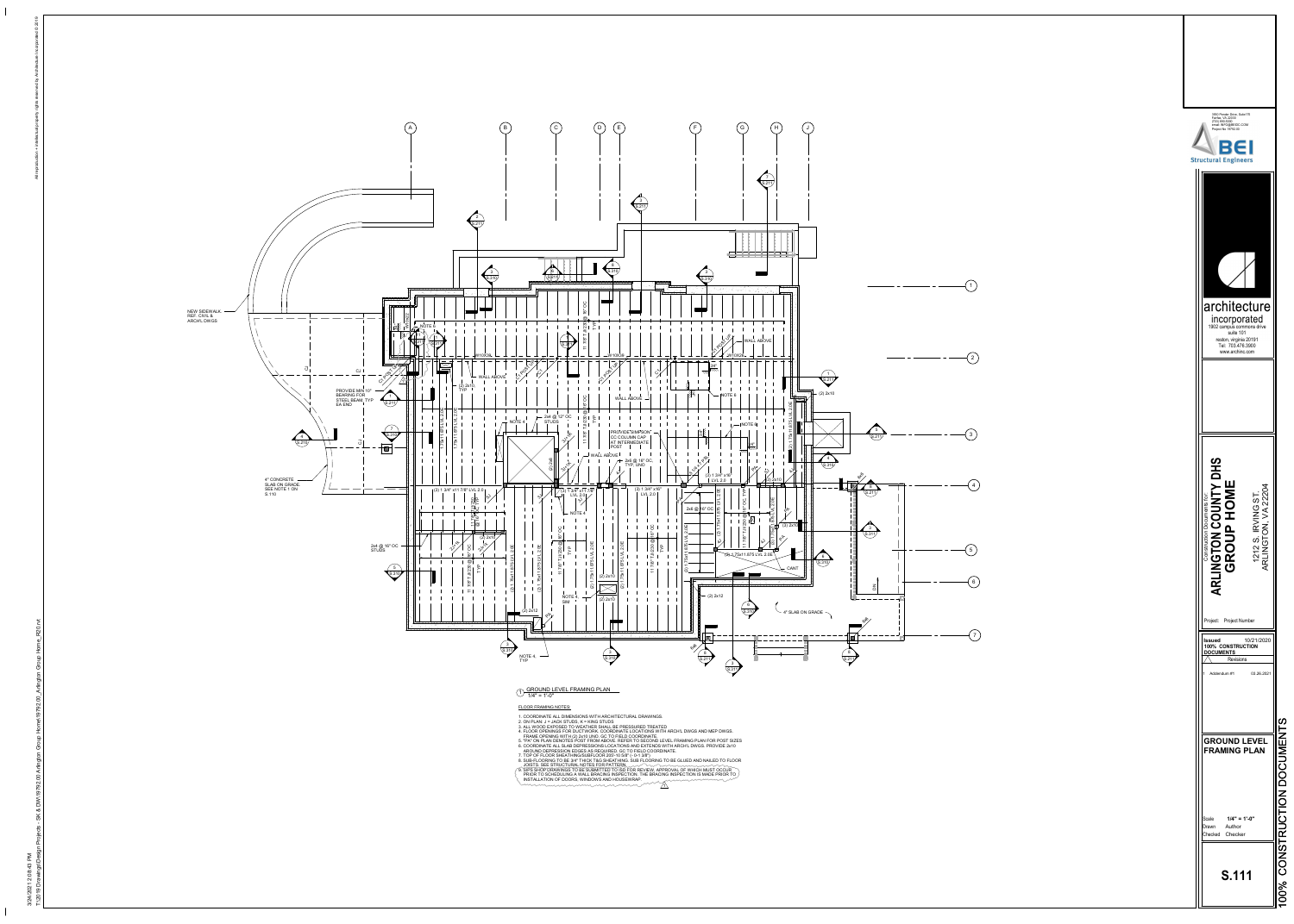

 $1/4" = 1'-0"$ 1) GROUND LEVEL FRAMING PLAN

JOISTS. SEE STRUCTURAL NOTES FOR PATTERN was media the manufacturerance of the JOISTS.  $\sim$  9. SIPS SHOP DRAWINGS TO BE SUBMITTED TO ISD FOR REVIEW, APPROVAL OF WHICH MUST OCCUR $\sim$ PRIOR TO SCHEDULING A WALL BRACING INSPECTION. THE BRACING INSPECTION IS MADE PRIOR TO  $\mathcal J$ INSTALLATION OF DOORS, WINDOWS AND HOUSEWRAP.



### FLOOR FRAMING NOTES:

- 1. COORDINATE ALL DIMENSIONS WITH ARCHITECTURAL DRAWINGS. 2. ON PLAN: J = JACK STUDS, K = KING STUDS
- 3. ALL WOOD EXPOSED TO WEATHER SHALL BE PRESSURED TREATED 4. FLOOR OPENINGS FOR DUCTWORK. COORDINATE LOCATIONS WITH ARCH'L DWGS AND MEP DWGS.
- FRAME OPENING WITH (2) 2x10 UNO. GC TO FIELD COORDINATE. 5. "PA" ON PLAN DENOTES POST FROM ABOVE. REFER TO SECOND LEVEL FRAMING PLAN FOR POST SIZES
- 6. COORDINATE ALL SLAB DEPRESSIONS LOCATIONS AND EXTENDS WITH ARCH'L DWGS. PROVIDE 2x10 AROUND DEPRESSION EDGES AS REQUIRED. GC TO FIELD COORDINATE.
- 7. TOP OF FLOOR SHEATHING/SUBFLOOR 205'-10 5/8" (- 0-1 3/8") 8. SUB-FLOORING TO BE 3/4" THICK T&G SHEATHING. SUB FLOORING TO BE GLUED AND NAILED TO FLOOR

1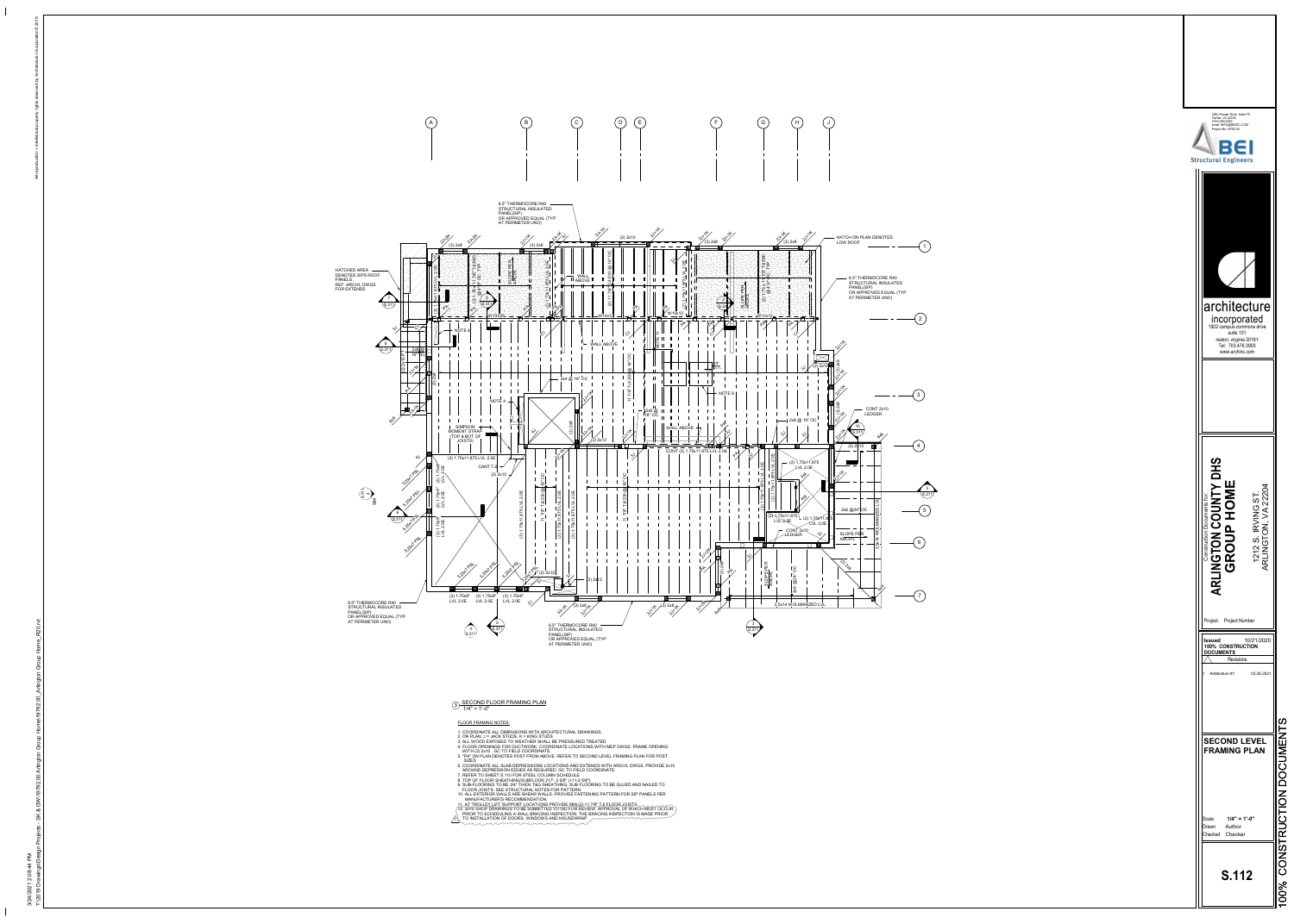

#### $1/4" = 1'-0"$ 3) SECOND FLOOR FRAMING PLAN

6.5" THERMOCORE R40 STRUCTURAL INSULATED PANEL(SIP) OR APPROVED EQUAL (TYP AT PERIMETER UNO)

- 1. COORDINATE ALL DIMENSIONS WITH ARCHITECTURAL DRAWINGS. 2. ON PLAN: J = JACK STUDS, K = KING STUDS
- 3. ALL WOOD EXPOSED TO WEATHER SHALL BE PRESSURED TREATED 4. FLOOR OPENINGS FOR DUCTWORK. COORDINATE LOCATIONS WITH MEP DWGS. FRAME OPENING
- WITH (2) 2x10 . GC TO FIELD COORDINATE. 5. "PA" ON PLAN DENOTES POST FROM ABOVE. REFER TO SECOND LEVEL FRAMING PLAN FOR POST
- SIZES 6. COORDINATE ALL SLAB DEPRESSIONS LOCATIONS AND EXTENDS WITH ARCH'L DWGS. PROVIDE 2x10
- AROUND DEPRESSION EDGES AS REQUIRED. GC TO FIELD COORDINATE.
- 7. REFER TO SHEET S.110 FOR STEEL COLUMN SCHEDULE 8. TOP OF FLOOR SHEATHING/SUBFLOOR 217'- 2 5/8" (+11-2 5/8") 9. SUB-FLOORING TO BE 3/4" THICK T&G SHEATHING. SUB FLOORING TO BE GLUED AND NAILED TO
- FLOOR JOISTS. SEE STRUCTURAL NOTES FOR PATTERN.
- 10. ALL EXTERIOR WALLS ARE SHEAR WALLS. PROVIDE FASTENING PATTERN FOR SIP PANELS PER MANUFACTURER'S RECOMMENDATION.
- 11. AT TROLLEY LIFT SUPPORT LOCATIONS PROVIDE MIN (2) 11 7/8" TJI FLOOR JOISTS. 12. SIPS SHOP DRAWINGS TO BE SUBMITTED TO ISD FOR REVIEW, APPROVAL OF WHICH MUST OCCUR PRIOR TO SCHEDULING A WALL BRACING INSPECTION. THE BRACING INSPECTION IS MADE PRIOR  $\gamma$  to installation of doors, windows and housewrap.

[S.311](#page-0-0) 4

SIM







T:\2019 Drawings\Design Projects - SK & DW\19792.00 Arlington Group Home\19792.00\_Arlington Group Home\_R20.rvt

3/24/2021 2:08:44 PM

FLOOR FRAMING NOTES: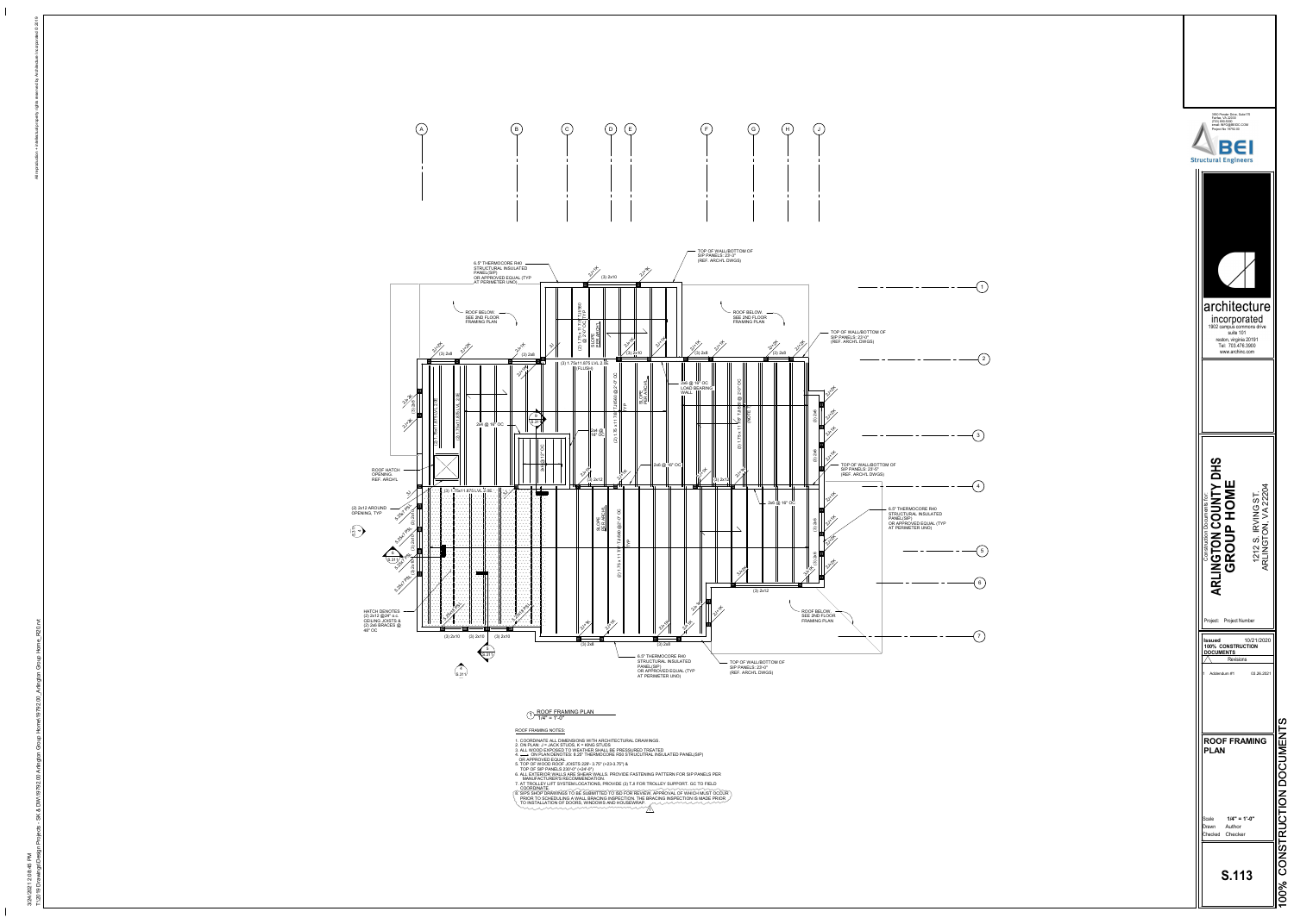

#### $1/4" = 1'-0"$ 1) ROOF FRAMING PLAN

48" OC

[S.311](#page-0-0)

4 OPENING, TYP

OPENING. REF. ARCH'L

All reproduction + intellectual property rights reserved by Architecture Incorporated © 2019



T:\2019 Drawings\Design Projects - SK & DW\19792.00 Arlington Group Home\19792.00\_Arlington Group Home\_R20.rvt

3/24/2021 2:08:45 PM

ROOF FRAMING NOTES:

- 1. COORDINATE ALL DIMENSIONS WITH ARCHITECTURAL DRAWINGS.
- 2. ON PLAN: J = JACK STUDS, K = KING STUDS 3. ALL WOOD EXPOSED TO WEATHER SHALL BE PRESSURED TREATED
- $4. \longleftrightarrow$  ON PLAN DENOTES: 8.25" THERMOCORE R50 STRUCUTRAL INSULATED PANEL(SIP) OR APPROVED EQUAL
- 5. TOP OF WOOD ROOF JOISTS 229'- 3.75" (+23-3.75") & TOP OF SIP PANELS 230'-0" (+24'-0")
- 6. ALL EXTERIOR WALLS ARE SHEAR WALLS. PROVIDE FASTENING PATTERN FOR SIP PANELS PER MANUFACTURER'S RECOMMENDATION.
- 7. AT TROLLEY LIFT SYSTEM LOCATIONS, PROVIDE (3) TJI FOR TROLLEY SUPPORT. GC TO FIELD
- COORDINATE. COORDINATE.<br>8. SIPS SHOP DRAWINGS TO BE SUBMITTED TO ISD FOR REVIEW, APPROVAL OF WHICH MUST OCCUR PRIOR TO SCHEDULING A WALL BRACING INSPECTION. THE BRACING INSPECTION IS MADE PRIOR J
- TO INSTALLATION OF DOORS, WINDOWS AND HOUSEWRAP . 1